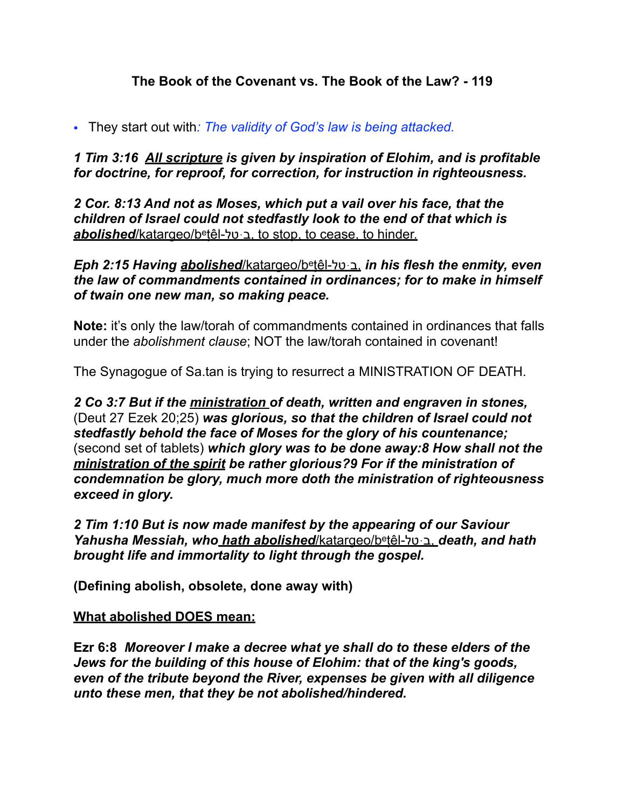## **The Book of the Covenant vs. The Book of the Law? - 119**

*•* They start out with*: The validity of God's law is being attacked.* 

*1 Tim 3:16 All scripture is given by inspiration of Elohim, and is profitable for doctrine, for reproof, for correction, for instruction in righteousness.* 

*2 Cor. 8:13 And not as Moses, which put a vail over his face, that the children of Israel could not stedfastly look to the end of that which is*  **abolished**/katargeo/betêl-ב ּטל to stop, to cease, to hinder.

*Eph 2:15 Having abolished*/katargeo/betệ l-טלּב, *in his flesh the enmity, even the law of commandments contained in ordinances; for to make in himself of twain one new man, so making peace.* 

**Note:** it's only the law/torah of commandments contained in ordinances that falls under the *abolishment clause*; NOT the law/torah contained in covenant!

The Synagogue of Sa.tan is trying to resurrect a MINISTRATION OF DEATH.

*2 Co 3:7 But if the ministration of death, written and engraven in stones,*  (Deut 27 Ezek 20;25) *was glorious, so that the children of Israel could not stedfastly behold the face of Moses for the glory of his countenance;*  (second set of tablets) *which glory was to be done away:8 How shall not the ministration of the spirit be rather glorious?9 For if the ministration of condemnation be glory, much more doth the ministration of righteousness exceed in glory.*

*2 Tim 1:10 But is now made manifest by the appearing of our Saviour Yahusha Messiah, who hath abolished*/katargeo/betệ l-טלּב, *death, and hath brought life and immortality to light through the gospel.* 

**(Defining abolish, obsolete, done away with)** 

#### **What abolished DOES mean:**

**Ezr 6:8** *Moreover I make a decree what ye shall do to these elders of the Jews for the building of this house of Elohim: that of the king's goods, even of the tribute beyond the River, expenses be given with all diligence unto these men, that they be not abolished/hindered.*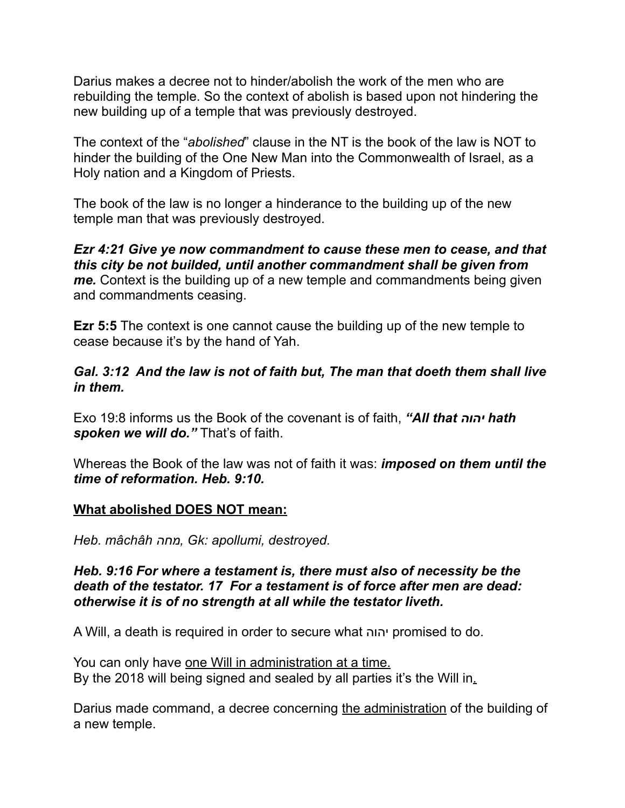Darius makes a decree not to hinder/abolish the work of the men who are rebuilding the temple. So the context of abolish is based upon not hindering the new building up of a temple that was previously destroyed.

The context of the "*abolished*" clause in the NT is the book of the law is NOT to hinder the building of the One New Man into the Commonwealth of Israel, as a Holy nation and a Kingdom of Priests.

The book of the law is no longer a hinderance to the building up of the new temple man that was previously destroyed.

*Ezr 4:21 Give ye now commandment to cause these men to cease, and that this city be not builded, until another commandment shall be given from me.* Context is the building up of a new temple and commandments being given and commandments ceasing.

**Ezr 5:5** The context is one cannot cause the building up of the new temple to cease because it's by the hand of Yah.

## *Gal. 3:12 And the law is not of faith but, The man that doeth them shall live in them.*

Exo 19:8 informs us the Book of the covenant is of faith, *"All that יהוה hath* spoken we will do." That's of faith.

Whereas the Book of the law was not of faith it was: *imposed on them until the time of reformation. Heb. 9:10.* 

## **What abolished DOES NOT mean:**

*Heb. mâchâh מחה, Gk: apollumi, destroyed.* 

#### *Heb. 9:16 For where a testament is, there must also of necessity be the death of the testator. 17 For a testament is of force after men are dead: otherwise it is of no strength at all while the testator liveth.*

A Will, a death is required in order to secure what יהוה promised to do.

You can only have one Will in administration at a time. By the 2018 will being signed and sealed by all parties it's the Will in.

Darius made command, a decree concerning the administration of the building of a new temple.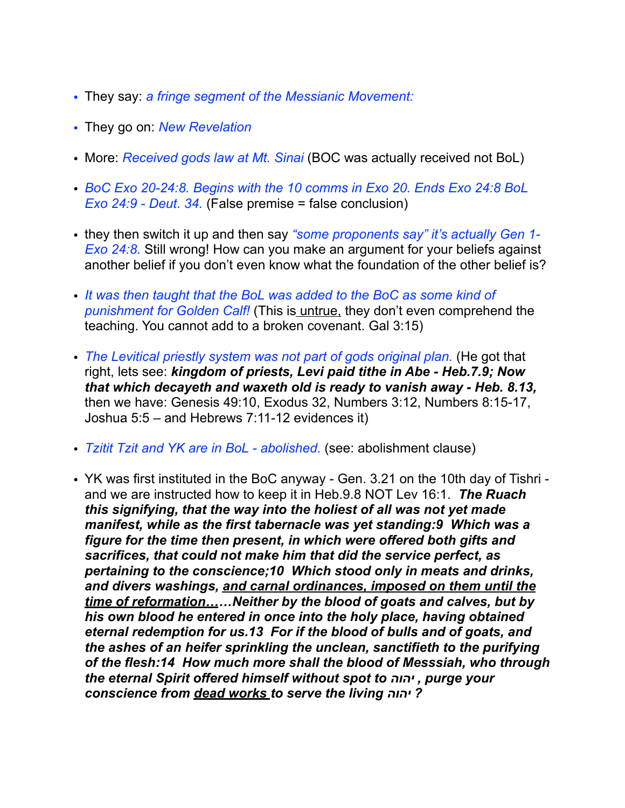- *•* They say: *a fringe segment of the Messianic Movement:*
- *•* They go on: *New Revelation*
- *•* More: *Received gods law at Mt. Sinai* (BOC was actually received not BoL)
- *• BoC Exo 20-24:8. Begins with the 10 comms in Exo 20. Ends Exo 24:8 BoL Exo 24:9 - Deut. 34.* (False premise = false conclusion)
- *•* they then switch it up and then say *"some proponents say" it's actually Gen 1- Exo 24:8.* Still wrong! How can you make an argument for your beliefs against another belief if you don't even know what the foundation of the other belief is?
- *• It was then taught that the BoL was added to the BoC as some kind of punishment for Golden Calf!* (This is untrue, they don't even comprehend the teaching. You cannot add to a broken covenant. Gal 3:15)
- *• The Levitical priestly system was not part of gods original plan.* (He got that right, lets see: *kingdom of priests, Levi paid tithe in Abe - Heb.7.9; Now that which decayeth and waxeth old is ready to vanish away - Heb. 8.13,* then we have: Genesis 49:10, Exodus 32, Numbers 3:12, Numbers 8:15-17, Joshua 5:5 – and Hebrews 7:11-12 evidences it)
- *• Tzitit Tzit and YK are in BoL abolished.* (see: abolishment clause)
- *•* YK was first instituted in the BoC anyway Gen. 3.21 on the 10th day of Tishri and we are instructed how to keep it in Heb.9.8 NOT Lev 16:1. *The Ruach this signifying, that the way into the holiest of all was not yet made manifest, while as the first tabernacle was yet standing:9 Which was a figure for the time then present, in which were offered both gifts and sacrifices, that could not make him that did the service perfect, as pertaining to the conscience;10 Which stood only in meats and drinks, and divers washings, and carnal ordinances, imposed on them until the time of reformation……Neither by the blood of goats and calves, but by his own blood he entered in once into the holy place, having obtained eternal redemption for us.13 For if the blood of bulls and of goats, and the ashes of an heifer sprinkling the unclean, sanctifieth to the purifying of the flesh:14 How much more shall the blood of Messsiah, who through the eternal Spirit offered himself without spot to יהוה , purge your conscience from dead works to serve the living יהוה?*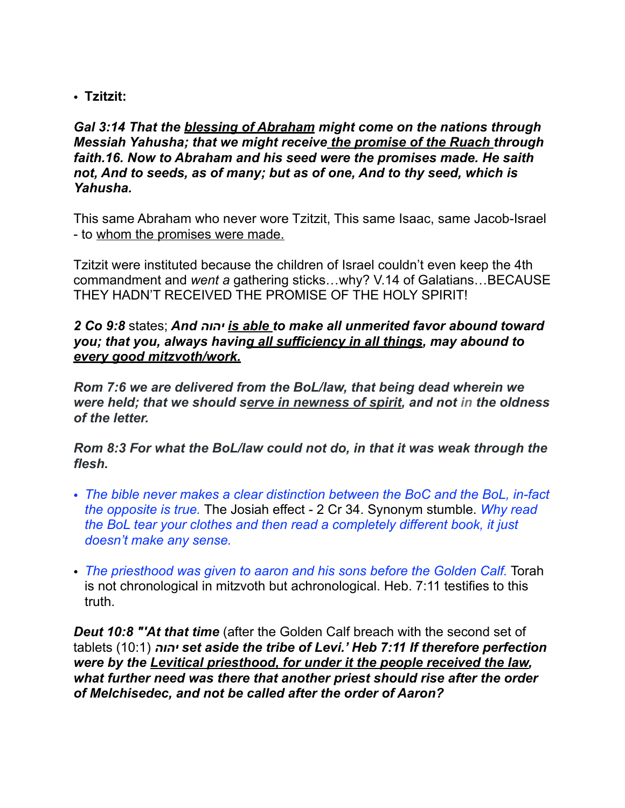• **Tzitzit:** 

*Gal 3:14 That the blessing of Abraham might come on the nations through Messiah Yahusha; that we might receive the promise of the Ruach through faith.16. Now to Abraham and his seed were the promises made. He saith not, And to seeds, as of many; but as of one, And to thy seed, which is Yahusha.* 

This same Abraham who never wore Tzitzit, This same Isaac, same Jacob-Israel - to whom the promises were made.

Tzitzit were instituted because the children of Israel couldn't even keep the 4th commandment and *went a* gathering sticks…why? V.14 of Galatians…BECAUSE THEY HADN'T RECEIVED THE PROMISE OF THE HOLY SPIRIT!

#### *2 Co 9:8* states; *And יהוה is able to make all unmerited favor abound toward you; that you, always having all sufficiency in all things, may abound to every good mitzvoth/work.*

*Rom 7:6 we are delivered from the BoL/law, that being dead wherein we were held; that we should serve in newness of spirit, and not in the oldness of the letter.* 

*Rom 8:3 For what the BoL/law could not do, in that it was weak through the flesh.* 

- *• The bible never makes a clear distinction between the BoC and the BoL, in-fact the opposite is true.* The Josiah effect - 2 Cr 34. Synonym stumble. *Why read the BoL tear your clothes and then read a completely different book, it just doesn't make any sense.*
- *• The priesthood was given to aaron and his sons before the Golden Calf.* Torah is not chronological in mitzvoth but achronological. Heb. 7:11 testifies to this truth.

**Deut 10:8 "'At that time** (after the Golden Calf breach with the second set of tablets (10:1) *יהוה set aside the tribe of Levi.' Heb 7:11 If therefore perfection were by the Levitical priesthood, for under it the people received the law, what further need was there that another priest should rise after the order of Melchisedec, and not be called after the order of Aaron?*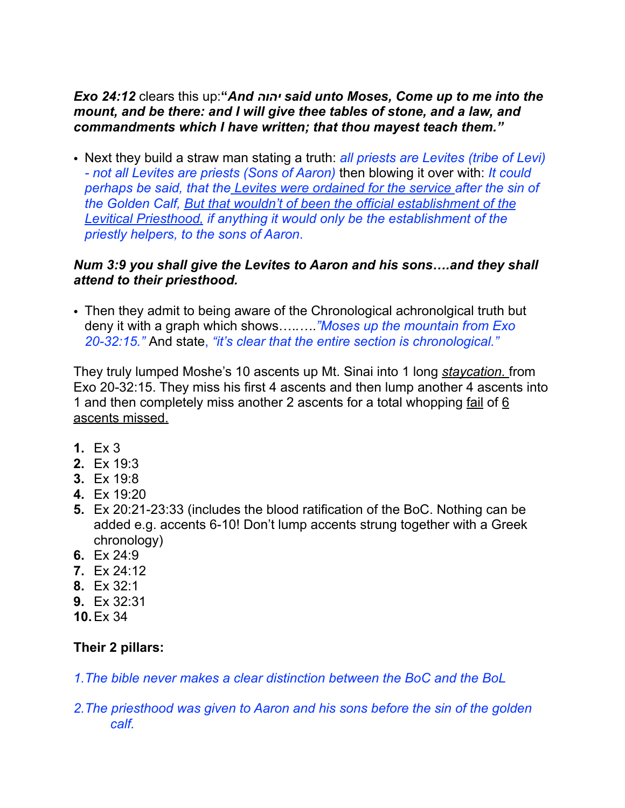## *Exo 24:12* clears this up:**"***And יהוה said unto Moses, Come up to me into the mount, and be there: and I will give thee tables of stone, and a law, and commandments which I have written; that thou mayest teach them."*

*•* Next they build a straw man stating a truth: *all priests are Levites (tribe of Levi) - not all Levites are priests (Sons of Aaron)* then blowing it over with: *It could perhaps be said, that the Levites were ordained for the service after the sin of the Golden Calf, But that wouldn't of been the official establishment of the Levitical Priesthood, if anything it would only be the establishment of the priestly helpers, to the sons of Aaron*.

## *Num 3:9 you shall give the Levites to Aaron and his sons….and they shall attend to their priesthood.*

*•* Then they admit to being aware of the Chronological achronolgical truth but deny it with a graph which shows….*.…*.*"Moses up the mountain from Exo 20-32:15."* And state, *"it's clear that the entire section is chronological."* 

They truly lumped Moshe's 10 ascents up Mt. Sinai into 1 long *staycation.* from Exo 20-32:15. They miss his first 4 ascents and then lump another 4 ascents into 1 and then completely miss another 2 ascents for a total whopping fail of 6 ascents missed.

- **1.** Ex 3
- **2.** Ex 19:3
- **3.** Ex 19:8
- **4.** Ex 19:20
- **5.** Ex 20:21-23:33 (includes the blood ratification of the BoC. Nothing can be added e.g. accents 6-10! Don't lump accents strung together with a Greek chronology)
- **6.** Ex 24:9
- **7.** Ex 24:12
- **8.** Ex 32:1
- **9.** Ex 32:31
- **10.**Ex 34

# **Their 2 pillars:**

*1.The bible never makes a clear distinction between the BoC and the BoL* 

*2.The priesthood was given to Aaron and his sons before the sin of the golden calf.*